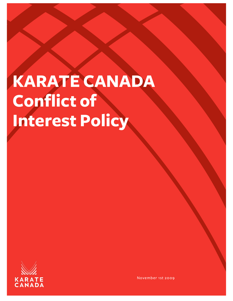# **KARATE CANADA Conflict of Interest Policy**



November 1st 2009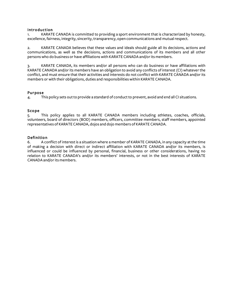# Introduction

1. KARATE CANADA is committed to providing a sport environment that is characterized by honesty, excellence, fairness, integrity, sincerity, transparency, open communications and mutual respect.

2. KARATE CANADA believes that these values and ideals should guide all its decisions, actions and communications, as well as the decisions, actions and communications of its members and all other persons who do business or have affiliations with KARATE CANADA and/or its members.

3. KARATE CANADA, its members and/or all persons who can do business or have affiliations with KARATE CANADA and/or its members have an obligation to avoid any conflicts of interest (CI) whatever the conflict, and must ensure that their activities and interests do not conflict with KARATE CANADA and/orits members or with their obligations, duties and responsibilitieswithin KARATE CANADA.

# Purpose

4. This policy sets outto provide a standard of conduct to prevent, avoid and end all CI situations.

# Scope

5. This policy applies to all KARATE CANADA members including athletes, coaches, officials, volunteers, board of directors (BOD) members, officers, committee members, staff members, appointed representatives of KARATE CANADA, dojos and dojo members of KARATE CANADA.

# Definition

6. A conflict of interest is a situation where a member of KARATE CANADA, in any capacity at the time of making a decision with direct or indirect affiliation with KARATE CANADA and/or its members, is influenced or could be influenced by personal, financial, business or other considerations, having no relation to KARATE CANADA's and/or its members' interests, or not in the best interests of KARATE CANADA and/or its members.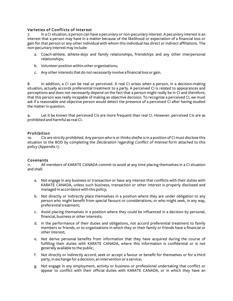# Varieties of Conflicts of Interest

7. In a CI situation, a person can have a pecuniary or non-pecuniary interest. A pecuniary interest is an interest that a person may have in a matter because of the likelihood or expectation of a financial loss or gain for that person or any other individual with whom this individual has direct or indirect affiliations. The non-pecuniary interestmay include:

- a. Coach-athlete, athlete-dojo and family relationships, friendships and any other interpersonal relationships;
- b. Volunteer position within other organizations;
- c. Any otherinterests that do not necessarily involve a financial loss or gain.

8. In addition, a CI can be real or perceived. A real CI arises when a person, in a decision-making situation, actually accords preferential treatment to a party. A perceived CI is related to appearances and perceptions and does not necessarily depend on the fact that a person might really be in CI and therefore, that this person was really incapable of making an objective decision. To recognize a perceived CI, we must ask if a reasonable and objective person would detect the presence of a perceived CI after having studied the matterin question.

9. Let it be known that perceived CIs are more frequent than real CI. However, perceived CIs are as prohibited and harmful as real CI.

### Prohibition

10. CIs are strictly prohibited. Any person who is orthinks she/he is in a position of CI must disclose this situation to the BOD by completing the *Declaration regarding Conflict of Interest* form attached to this policy (Appendix 1).

### Covenants

11. All members of KARATE CANADA commit to avoid at any time placing themselves in a CI situation and shall:

- a. Not engage in any business or transaction or have any interest that conflicts with their duties with KARATE CANADA, unless such business, transaction or other interest is properly disclosed and managed in accordance with this policy;
- b. Not directly or indirectly place themselves in a position where they are under obligation to any person who might benefit from special favours or considerations, or who might seek, in any way, preferential treatment;
- c. Avoid placing themselves in a position where they could be influenced in a decision by personal, financial, business or other interests;
- d. In the performance of their duties and obligations, not accord preferential treatment to family members or friends, or to organizations in which they or their family or friends have a financial or otherinterest;
- e. Not derive personal benefits from information that they have acquired during the course of fulfilling their duties with KARATE CANADA, where this information is confidential or is not generally available to the public;
- f. Not directly or indirectly accord, seek or accept a favour or benefit for themselves or for a third party, in exchange for a decision, an intervention or a service;
- g. Not engage in any employment, activity or business or professional undertaking that conflict or appear to conflict with their official duties with KARATE CANADA, or in which they have an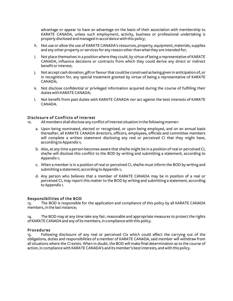advantage or appear to have an advantage on the basis of their association with membership to KARATE CANADA, unless such employment, activity, business or professional undertaking is properly disclosed and managed in accordancewith this policy;

- h. Not use or allow the use of KARATE CANADA's resources, property, equipment, materials, supplies and any other property or services for any reason other than what they are intended for;
- i. Not place themselves in a position where they could, by virtue of being a representative of KARATE CANADA, influence decisions or contracts from which they could derive any direct or indirect benefit orinterest;
- j. Not accept cash donation, gift or favour that could be construed as being given in anticipation of, or in recognition for, any special treatment granted by virtue of being a representative of KARATE CANADA;
- k. Not disclose confidential or privileged information acquired during the course of fulfilling their duties with KARATE CANADA;
- l. Not benefit from past duties with KARATE CANADA nor act against the best interests of KARATE CANADA.

# Disclosure of Conflicts of Interest

12. Allmembers shall disclose any conflict ofinterest situation in the followingmanner:

- a. Upon being nominated, elected or recognized, or upon being employed, and on an annual basis thereafter, all KARATE CANADA directors, officers, employees, officials and committee members will complete a written statement disclosing any real or perceived CI that they might have, according to Appendix 1;
- b. Also, at any time a person becomes aware that she/he might be in a position ofreal or perceived CI, she/he will disclose this conflict to the BOD by writing and submitting a statement, according to Appendix 1;
- c. When a member is in a position of real or perceived CI, she/he must inform the BOD by writing and submitting a statement, according to Appendix 1;
- d. Any person who believes that a member of KARATE CANADA may be in position of a real or perceived CI, may report this matter to the BOD by writing and submitting a statement, according to Appendix 1.

### Responsibilities of the BOD

13. The BOD is responsible for the application and compliance of this policy by all KARATE CANADA members, in the last instance;

14. The BOD may at any time take any fair, reasonable and appropriate measures to protect the rights of KARATE CANADA and any of its members, in compliance with this policy.

### Procedures

15. Following disclosure of any real or perceived CIs which could affect the carrying out of the obligations, duties and responsibilities of a member of KARATE CANADA, said member will withdraw from all situations where the CI exists. When in doubt, the BOD will make final determination as to the course of action, in compliance with KARATE CANADA's and its member's best interests, and with this policy.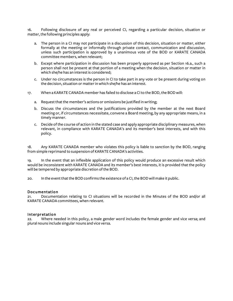16. Following disclosure of any real or perceived CI, regarding a particular decision, situation or matter, the following principles apply:

- a. The person in a CI may not participate in a discussion of this decision, situation or matter, either formally at the meeting or informally through private contact, communication and discussion, unless such participation is approved by a unanimous vote of the BOD or KARATE CANADA committee members,when relevant;
- b. Except where participation in discussion has been properly approved as per Section 16.a., such a person shall not be present at that portion of a meeting when the decision, situation or matter in which she/he has an interest is considered;
- c. Under no circumstances is the person in CI to take part in any vote or be present during voting on the decision, situation or matterinwhich she/he has an interest.
- 17. When a KARATE CANADA member has failed to disclose aCIto the BOD, the BOD will:
	- a. Request that the member's actions or omissions be justified in writing;
	- b. Discuss the circumstances and the justifications provided by the member at the next Board meeting or, if circumstances necessitate, convene a Board meeting, by any appropriate means, in a timely manner.
	- c. Decide of the course of action in the stated case and apply appropriate disciplinary measures, when relevant, in compliance with KARATE CANADA's and its member's best interests, and with this policy.

18. Any KARATE CANADA member who violates this policy is liable to sanction by the BOD, ranging from simple reprimand to suspension of KARATE CANADA's activities.

19. In the event that an inflexible application of this policy would produce an excessive result which would be inconsistent with KARATE CANADA and its member's best interests, it is provided that the policy will be tempered by appropriate discretion of the BOD.

20. In the eventthat the BOD confirms the existence of a CI, the BOD willmake it public.

#### Documentation

21. Documentation relating to CI situations will be recorded in the Minutes of the BOD and/or all KARATE CANADA committees, when relevant.

#### Interpretation

22. Where needed in this policy, a male gender word includes the female gender and vice versa; and plural nouns include singular nouns and vice versa.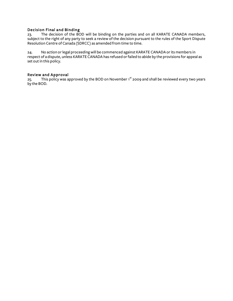# Decision Final and Binding

23. The decision of the BOD will be binding on the parties and on all KARATE CANADA members, subject to the right of any party to seek a review of the decision pursuant to the rules of the Sport Dispute Resolution Centre of Canada (SDRCC) as amended from time to time.

24. No action or legal proceeding will be commenced against KARATE CANADA or its members in respect of a dispute, unless KARATE CANADA has refused orfailed to abide by the provisions for appeal as set out in this policy.

#### Review and Approval

25. This policy was approved by the BOD on November 1<sup>st</sup> 2009 and shall be reviewed every two years by the BOD.